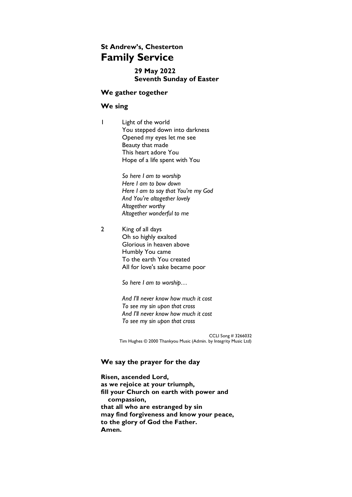# **St Andrew's, Chesterton Family Service**

### **29 May 2022 Seventh Sunday of Easter**

### **We gather together**

### **We sing**

1 Light of the world You stepped down into darkness Opened my eyes let me see Beauty that made This heart adore You Hope of a life spent with You

> *So here I am to worship Here I am to bow down Here I am to say that You're my God And You're altogether lovely Altogether worthy Altogether wonderful to me*

2 King of all days Oh so highly exalted Glorious in heaven above Humbly You came To the earth You created All for love's sake became poor

*So here I am to worship…*

*And I'll never know how much it cost To see my sin upon that cross And I'll never know how much it cost To see my sin upon that cross*

CCLI Song # 3266032 Tim Hughes © 2000 Thankyou Music (Admin. by Integrity Music Ltd)

## **We say the prayer for the day**

**Risen, ascended Lord, as we rejoice at your triumph, fill your Church on earth with power and compassion, that all who are estranged by sin may find forgiveness and know your peace, to the glory of God the Father. Amen.**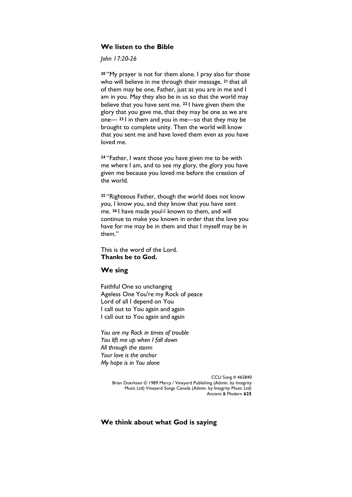#### **We listen to the Bible**

*John 17:20-26*

**<sup>20</sup>** "My prayer is not for them alone. I pray also for those who will believe in me through their message, **<sup>21</sup>** that all of them may be one, Father, just as you are in me and I am in you. May they also be in us so that the world may believe that you have sent me. **<sup>22</sup>** I have given them the glory that you gave me, that they may be one as we are one— **<sup>23</sup>** I in them and you in me—so that they may be brought to complete unity. Then the world will know that you sent me and have loved them even as you have loved me.

**<sup>24</sup>** "Father, I want those you have given me to be with me where I am, and to see my glory, the glory you have given me because you loved me before the creation of the world.

**<sup>25</sup>** "Righteous Father, though the world does not know you, I know you, and they know that you have sent me. **<sup>26</sup>** I have made you[a] known to them, and will continue to make you known in order that the love you have for me may be in them and that I myself may be in them."

This is the word of the Lord. **Thanks be to God.**

#### **We sing**

Faithful One so unchanging Ageless One You're my Rock of peace Lord of all I depend on You I call out to You again and again I call out to You again and again

*You are my Rock in times of trouble You lift me up when I fall down All through the storm Your love is the anchor My hope is in You alone*

> CCLI Song # 465840 Brian Doerksen © 1989 Mercy / Vineyard Publishing (Admin. by Integrity Music Ltd) Vineyard Songs Canada (Admin. by Integrity Music Ltd) Ancient & Modern **625**

#### **We think about what God is saying**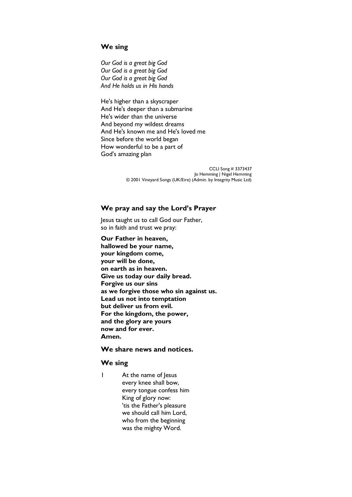#### **We sing**

*Our God is a great big God Our God is a great big God Our God is a great big God And He holds us in His hands*

He's higher than a skyscraper And He's deeper than a submarine He's wider than the universe And beyond my wildest dreams And He's known me and He's loved me Since before the world began How wonderful to be a part of God's amazing plan

> CCLI Song # 3373437 Jo Hemming | Nigel Hemming © 2001 Vineyard Songs (UK/Eire) (Admin. by Integrity Music Ltd)

#### **We pray and say the Lord's Prayer**

Jesus taught us to call God our Father, so in faith and trust we pray:

#### **Our Father in heaven,**

**hallowed be your name, your kingdom come, your will be done, on earth as in heaven. Give us today our daily bread. Forgive us our sins as we forgive those who sin against us. Lead us not into temptation but deliver us from evil. For the kingdom, the power, and the glory are yours now and for ever. Amen.**

#### **We share news and notices.**

#### **We sing**

1 At the name of Jesus every knee shall bow, every tongue confess him King of glory now: 'tis the Father's pleasure we should call him Lord, who from the beginning was the mighty Word.